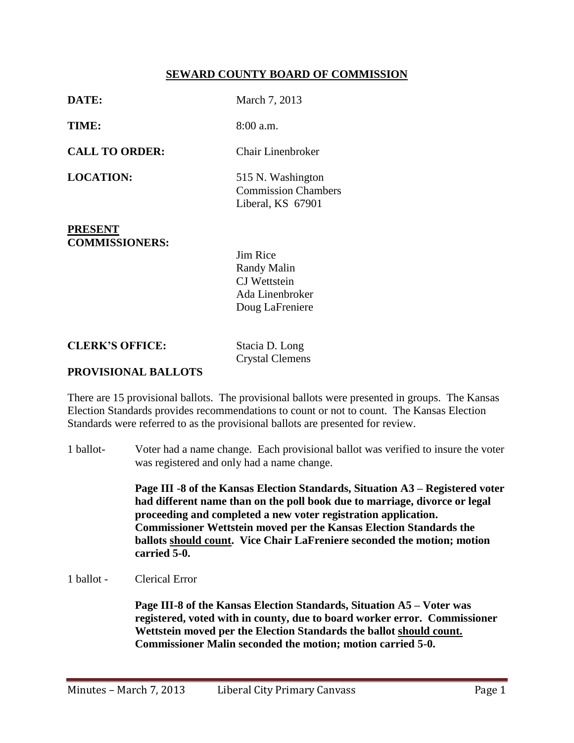## **SEWARD COUNTY BOARD OF COMMISSION**

| DATE:                                   | March 7, 2013                                                                               |
|-----------------------------------------|---------------------------------------------------------------------------------------------|
| TIME:                                   | $8:00$ a.m.                                                                                 |
| <b>CALL TO ORDER:</b>                   | Chair Linenbroker                                                                           |
| <b>LOCATION:</b>                        | 515 N. Washington<br><b>Commission Chambers</b><br>Liberal, KS 67901                        |
| <b>PRESENT</b><br><b>COMMISSIONERS:</b> | <b>Jim Rice</b><br><b>Randy Malin</b><br>CJ Wettstein<br>Ada Linenbroker<br>Doug LaFreniere |

**CLERK'S OFFICE:** Stacia D. Long

Crystal Clemens

## **PROVISIONAL BALLOTS**

There are 15 provisional ballots. The provisional ballots were presented in groups. The Kansas Election Standards provides recommendations to count or not to count. The Kansas Election Standards were referred to as the provisional ballots are presented for review.

1 ballot- Voter had a name change. Each provisional ballot was verified to insure the voter was registered and only had a name change.

> **Page III -8 of the Kansas Election Standards, Situation A3 – Registered voter had different name than on the poll book due to marriage, divorce or legal proceeding and completed a new voter registration application. Commissioner Wettstein moved per the Kansas Election Standards the ballots should count. Vice Chair LaFreniere seconded the motion; motion carried 5-0.**

1 ballot - Clerical Error

**Page III-8 of the Kansas Election Standards, Situation A5 – Voter was registered, voted with in county, due to board worker error. Commissioner Wettstein moved per the Election Standards the ballot should count. Commissioner Malin seconded the motion; motion carried 5-0.**